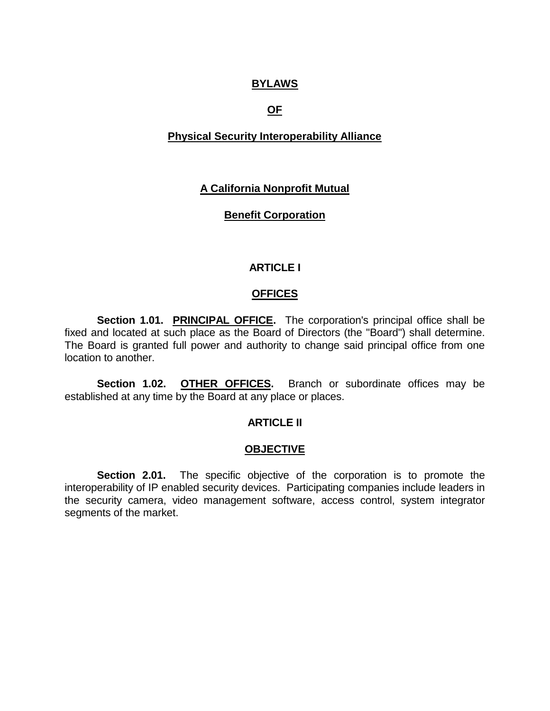### **BYLAWS**

# **OF**

# **Physical Security Interoperability Alliance**

# **A California Nonprofit Mutual**

### **Benefit Corporation**

# **ARTICLE I**

### **OFFICES**

**Section 1.01. PRINCIPAL OFFICE.** The corporation's principal office shall be fixed and located at such place as the Board of Directors (the "Board") shall determine. The Board is granted full power and authority to change said principal office from one location to another.

**Section 1.02. OTHER OFFICES.** Branch or subordinate offices may be established at any time by the Board at any place or places.

### **ARTICLE II**

### **OBJECTIVE**

**Section 2.01.** The specific objective of the corporation is to promote the interoperability of IP enabled security devices. Participating companies include leaders in the security camera, video management software, access control, system integrator segments of the market.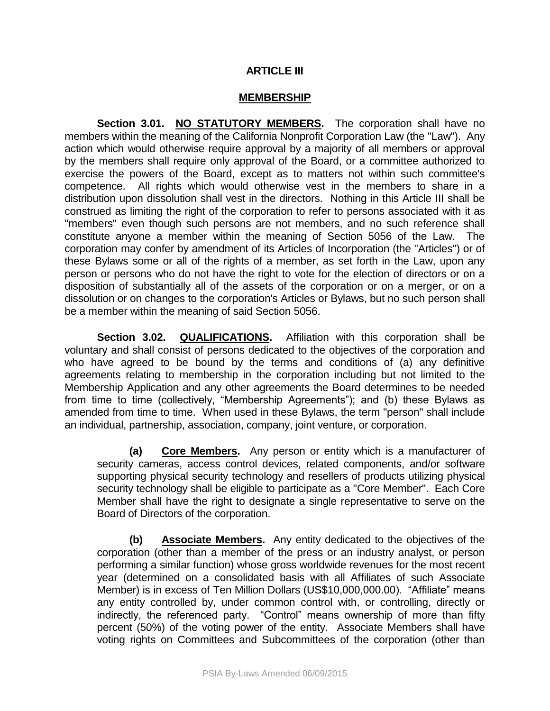# **ARTICLE III**

#### **MEMBERSHIP**

**Section 3.01. NO STATUTORY MEMBERS.** The corporation shall have no members within the meaning of the California Nonprofit Corporation Law (the "Law"). Any action which would otherwise require approval by a majority of all members or approval by the members shall require only approval of the Board, or a committee authorized to exercise the powers of the Board, except as to matters not within such committee's competence. All rights which would otherwise vest in the members to share in a distribution upon dissolution shall vest in the directors. Nothing in this Article III shall be construed as limiting the right of the corporation to refer to persons associated with it as "members" even though such persons are not members, and no such reference shall constitute anyone a member within the meaning of Section 5056 of the Law. The corporation may confer by amendment of its Articles of Incorporation (the "Articles") or of these Bylaws some or all of the rights of a member, as set forth in the Law, upon any person or persons who do not have the right to vote for the election of directors or on a disposition of substantially all of the assets of the corporation or on a merger, or on a dissolution or on changes to the corporation's Articles or Bylaws, but no such person shall be a member within the meaning of said Section 5056.

**Section 3.02. QUALIFICATIONS.** Affiliation with this corporation shall be voluntary and shall consist of persons dedicated to the objectives of the corporation and who have agreed to be bound by the terms and conditions of (a) any definitive agreements relating to membership in the corporation including but not limited to the Membership Application and any other agreements the Board determines to be needed from time to time (collectively, "Membership Agreements"); and (b) these Bylaws as amended from time to time. When used in these Bylaws, the term "person" shall include an individual, partnership, association, company, joint venture, or corporation.

**(a) Core Members.** Any person or entity which is a manufacturer of security cameras, access control devices, related components, and/or software supporting physical security technology and resellers of products utilizing physical security technology shall be eligible to participate as a "Core Member". Each Core Member shall have the right to designate a single representative to serve on the Board of Directors of the corporation.

**(b) Associate Members.** Any entity dedicated to the objectives of the corporation (other than a member of the press or an industry analyst, or person performing a similar function) whose gross worldwide revenues for the most recent year (determined on a consolidated basis with all Affiliates of such Associate Member) is in excess of Ten Million Dollars (US\$10,000,000.00). "Affiliate" means any entity controlled by, under common control with, or controlling, directly or indirectly, the referenced party. "Control" means ownership of more than fifty percent (50%) of the voting power of the entity. Associate Members shall have voting rights on Committees and Subcommittees of the corporation (other than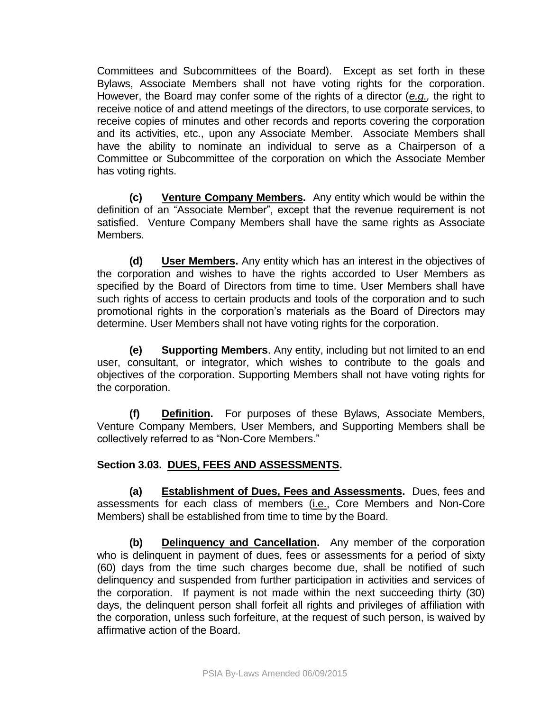Committees and Subcommittees of the Board). Except as set forth in these Bylaws, Associate Members shall not have voting rights for the corporation. However, the Board may confer some of the rights of a director (*e.g.,* the right to receive notice of and attend meetings of the directors, to use corporate services, to receive copies of minutes and other records and reports covering the corporation and its activities, etc., upon any Associate Member. Associate Members shall have the ability to nominate an individual to serve as a Chairperson of a Committee or Subcommittee of the corporation on which the Associate Member has voting rights.

**(c) Venture Company Members.** Any entity which would be within the definition of an "Associate Member", except that the revenue requirement is not satisfied. Venture Company Members shall have the same rights as Associate Members.

**(d) User Members.** Any entity which has an interest in the objectives of the corporation and wishes to have the rights accorded to User Members as specified by the Board of Directors from time to time. User Members shall have such rights of access to certain products and tools of the corporation and to such promotional rights in the corporation's materials as the Board of Directors may determine. User Members shall not have voting rights for the corporation.

**(e) Supporting Members**. Any entity, including but not limited to an end user, consultant, or integrator, which wishes to contribute to the goals and objectives of the corporation. Supporting Members shall not have voting rights for the corporation.

**(f) Definition.** For purposes of these Bylaws, Associate Members, Venture Company Members, User Members, and Supporting Members shall be collectively referred to as "Non-Core Members."

### **Section 3.03. DUES, FEES AND ASSESSMENTS.**

**(a) Establishment of Dues, Fees and Assessments.** Dues, fees and assessments for each class of members (i.e., Core Members and Non-Core Members) shall be established from time to time by the Board.

**(b) Delinquency and Cancellation.** Any member of the corporation who is delinquent in payment of dues, fees or assessments for a period of sixty (60) days from the time such charges become due, shall be notified of such delinquency and suspended from further participation in activities and services of the corporation. If payment is not made within the next succeeding thirty (30) days, the delinquent person shall forfeit all rights and privileges of affiliation with the corporation, unless such forfeiture, at the request of such person, is waived by affirmative action of the Board.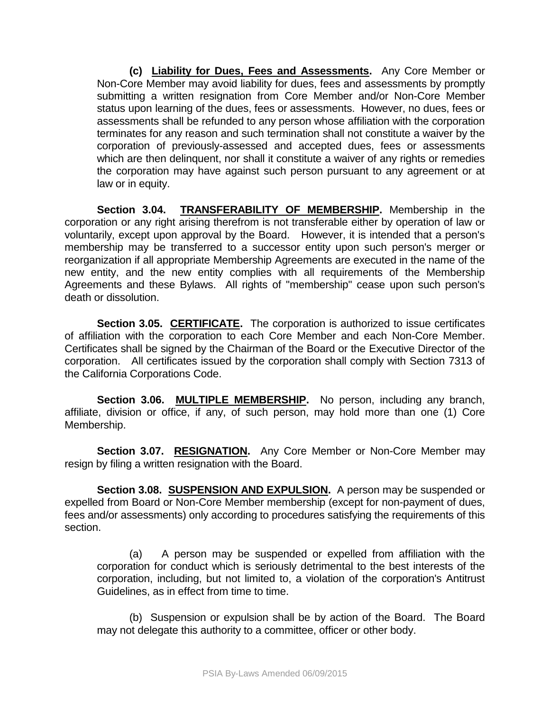**(c) Liability for Dues, Fees and Assessments.** Any Core Member or Non-Core Member may avoid liability for dues, fees and assessments by promptly submitting a written resignation from Core Member and/or Non-Core Member status upon learning of the dues, fees or assessments. However, no dues, fees or assessments shall be refunded to any person whose affiliation with the corporation terminates for any reason and such termination shall not constitute a waiver by the corporation of previously-assessed and accepted dues, fees or assessments which are then delinquent, nor shall it constitute a waiver of any rights or remedies the corporation may have against such person pursuant to any agreement or at law or in equity.

**Section 3.04. TRANSFERABILITY OF MEMBERSHIP.** Membership in the corporation or any right arising therefrom is not transferable either by operation of law or voluntarily, except upon approval by the Board. However, it is intended that a person's membership may be transferred to a successor entity upon such person's merger or reorganization if all appropriate Membership Agreements are executed in the name of the new entity, and the new entity complies with all requirements of the Membership Agreements and these Bylaws. All rights of "membership" cease upon such person's death or dissolution.

**Section 3.05. CERTIFICATE.** The corporation is authorized to issue certificates of affiliation with the corporation to each Core Member and each Non-Core Member. Certificates shall be signed by the Chairman of the Board or the Executive Director of the corporation. All certificates issued by the corporation shall comply with Section 7313 of the California Corporations Code.

**Section 3.06. MULTIPLE MEMBERSHIP.** No person, including any branch, affiliate, division or office, if any, of such person, may hold more than one (1) Core Membership.

**Section 3.07. RESIGNATION.** Any Core Member or Non-Core Member may resign by filing a written resignation with the Board.

**Section 3.08. SUSPENSION AND EXPULSION.** A person may be suspended or expelled from Board or Non-Core Member membership (except for non-payment of dues, fees and/or assessments) only according to procedures satisfying the requirements of this section.

(a) A person may be suspended or expelled from affiliation with the corporation for conduct which is seriously detrimental to the best interests of the corporation, including, but not limited to, a violation of the corporation's Antitrust Guidelines, as in effect from time to time.

(b) Suspension or expulsion shall be by action of the Board. The Board may not delegate this authority to a committee, officer or other body.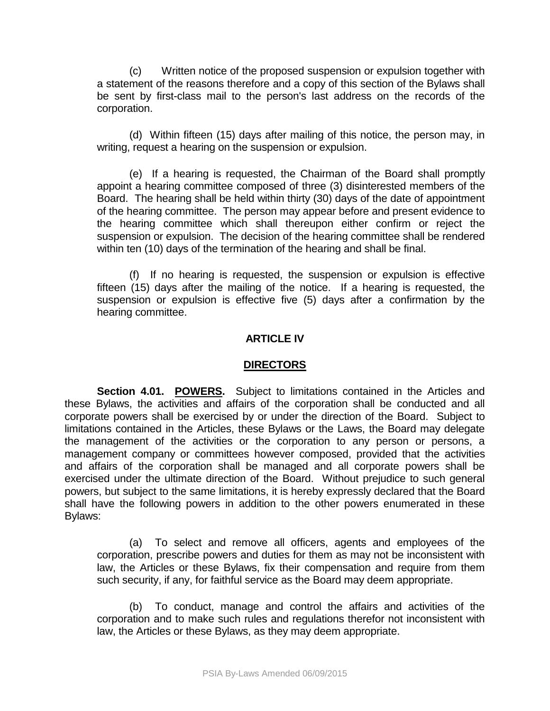(c) Written notice of the proposed suspension or expulsion together with a statement of the reasons therefore and a copy of this section of the Bylaws shall be sent by first-class mail to the person's last address on the records of the corporation.

(d) Within fifteen (15) days after mailing of this notice, the person may, in writing, request a hearing on the suspension or expulsion.

(e) If a hearing is requested, the Chairman of the Board shall promptly appoint a hearing committee composed of three (3) disinterested members of the Board. The hearing shall be held within thirty (30) days of the date of appointment of the hearing committee. The person may appear before and present evidence to the hearing committee which shall thereupon either confirm or reject the suspension or expulsion. The decision of the hearing committee shall be rendered within ten (10) days of the termination of the hearing and shall be final.

(f) If no hearing is requested, the suspension or expulsion is effective fifteen (15) days after the mailing of the notice. If a hearing is requested, the suspension or expulsion is effective five (5) days after a confirmation by the hearing committee.

#### **ARTICLE IV**

#### **DIRECTORS**

**Section 4.01. POWERS.** Subject to limitations contained in the Articles and these Bylaws, the activities and affairs of the corporation shall be conducted and all corporate powers shall be exercised by or under the direction of the Board. Subject to limitations contained in the Articles, these Bylaws or the Laws, the Board may delegate the management of the activities or the corporation to any person or persons, a management company or committees however composed, provided that the activities and affairs of the corporation shall be managed and all corporate powers shall be exercised under the ultimate direction of the Board. Without prejudice to such general powers, but subject to the same limitations, it is hereby expressly declared that the Board shall have the following powers in addition to the other powers enumerated in these Bylaws:

(a) To select and remove all officers, agents and employees of the corporation, prescribe powers and duties for them as may not be inconsistent with law, the Articles or these Bylaws, fix their compensation and require from them such security, if any, for faithful service as the Board may deem appropriate.

(b) To conduct, manage and control the affairs and activities of the corporation and to make such rules and regulations therefor not inconsistent with law, the Articles or these Bylaws, as they may deem appropriate.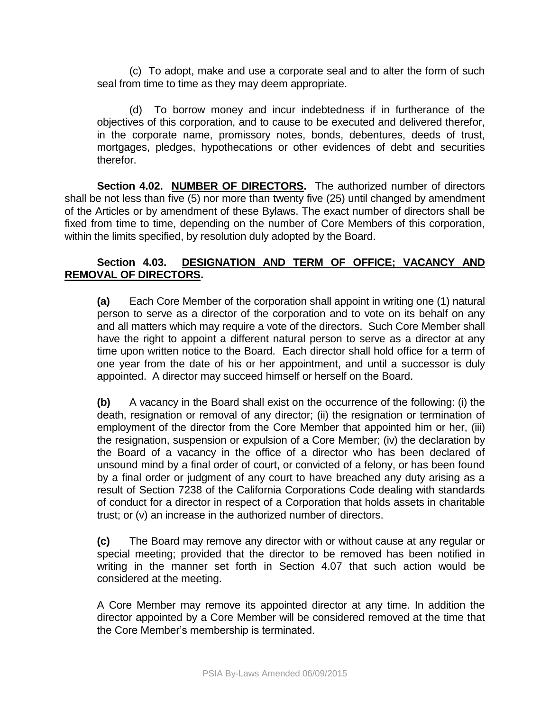(c) To adopt, make and use a corporate seal and to alter the form of such seal from time to time as they may deem appropriate.

(d) To borrow money and incur indebtedness if in furtherance of the objectives of this corporation, and to cause to be executed and delivered therefor, in the corporate name, promissory notes, bonds, debentures, deeds of trust, mortgages, pledges, hypothecations or other evidences of debt and securities therefor.

**Section 4.02. NUMBER OF DIRECTORS.** The authorized number of directors shall be not less than five (5) nor more than twenty five (25) until changed by amendment of the Articles or by amendment of these Bylaws. The exact number of directors shall be fixed from time to time, depending on the number of Core Members of this corporation, within the limits specified, by resolution duly adopted by the Board.

# **Section 4.03. DESIGNATION AND TERM OF OFFICE; VACANCY AND REMOVAL OF DIRECTORS.**

**(a)** Each Core Member of the corporation shall appoint in writing one (1) natural person to serve as a director of the corporation and to vote on its behalf on any and all matters which may require a vote of the directors. Such Core Member shall have the right to appoint a different natural person to serve as a director at any time upon written notice to the Board. Each director shall hold office for a term of one year from the date of his or her appointment, and until a successor is duly appointed. A director may succeed himself or herself on the Board.

**(b)** A vacancy in the Board shall exist on the occurrence of the following: (i) the death, resignation or removal of any director; (ii) the resignation or termination of employment of the director from the Core Member that appointed him or her, (iii) the resignation, suspension or expulsion of a Core Member; (iv) the declaration by the Board of a vacancy in the office of a director who has been declared of unsound mind by a final order of court, or convicted of a felony, or has been found by a final order or judgment of any court to have breached any duty arising as a result of Section 7238 of the California Corporations Code dealing with standards of conduct for a director in respect of a Corporation that holds assets in charitable trust; or (v) an increase in the authorized number of directors.

**(c)** The Board may remove any director with or without cause at any regular or special meeting; provided that the director to be removed has been notified in writing in the manner set forth in Section 4.07 that such action would be considered at the meeting.

A Core Member may remove its appointed director at any time. In addition the director appointed by a Core Member will be considered removed at the time that the Core Member's membership is terminated.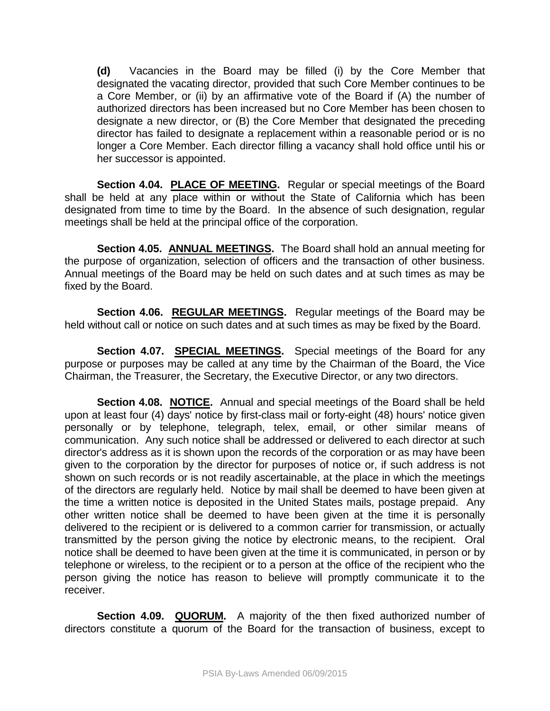**(d)** Vacancies in the Board may be filled (i) by the Core Member that designated the vacating director, provided that such Core Member continues to be a Core Member, or (ii) by an affirmative vote of the Board if (A) the number of authorized directors has been increased but no Core Member has been chosen to designate a new director, or (B) the Core Member that designated the preceding director has failed to designate a replacement within a reasonable period or is no longer a Core Member. Each director filling a vacancy shall hold office until his or her successor is appointed.

**Section 4.04. PLACE OF MEETING.** Regular or special meetings of the Board shall be held at any place within or without the State of California which has been designated from time to time by the Board. In the absence of such designation, regular meetings shall be held at the principal office of the corporation.

**Section 4.05. ANNUAL MEETINGS.** The Board shall hold an annual meeting for the purpose of organization, selection of officers and the transaction of other business. Annual meetings of the Board may be held on such dates and at such times as may be fixed by the Board.

**Section 4.06. REGULAR MEETINGS.** Regular meetings of the Board may be held without call or notice on such dates and at such times as may be fixed by the Board.

**Section 4.07. SPECIAL MEETINGS.** Special meetings of the Board for any purpose or purposes may be called at any time by the Chairman of the Board, the Vice Chairman, the Treasurer, the Secretary, the Executive Director, or any two directors.

**Section 4.08. NOTICE.** Annual and special meetings of the Board shall be held upon at least four (4) days' notice by first-class mail or forty-eight (48) hours' notice given personally or by telephone, telegraph, telex, email, or other similar means of communication. Any such notice shall be addressed or delivered to each director at such director's address as it is shown upon the records of the corporation or as may have been given to the corporation by the director for purposes of notice or, if such address is not shown on such records or is not readily ascertainable, at the place in which the meetings of the directors are regularly held. Notice by mail shall be deemed to have been given at the time a written notice is deposited in the United States mails, postage prepaid. Any other written notice shall be deemed to have been given at the time it is personally delivered to the recipient or is delivered to a common carrier for transmission, or actually transmitted by the person giving the notice by electronic means, to the recipient. Oral notice shall be deemed to have been given at the time it is communicated, in person or by telephone or wireless, to the recipient or to a person at the office of the recipient who the person giving the notice has reason to believe will promptly communicate it to the receiver.

**Section 4.09. QUORUM.** A majority of the then fixed authorized number of directors constitute a quorum of the Board for the transaction of business, except to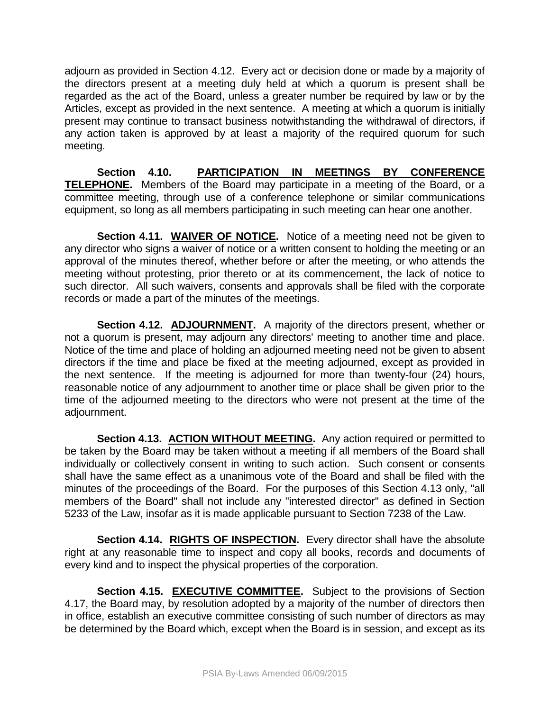adjourn as provided in Section 4.12. Every act or decision done or made by a majority of the directors present at a meeting duly held at which a quorum is present shall be regarded as the act of the Board, unless a greater number be required by law or by the Articles, except as provided in the next sentence. A meeting at which a quorum is initially present may continue to transact business notwithstanding the withdrawal of directors, if any action taken is approved by at least a majority of the required quorum for such meeting.

**Section 4.10. PARTICIPATION IN MEETINGS BY CONFERENCE TELEPHONE.** Members of the Board may participate in a meeting of the Board, or a committee meeting, through use of a conference telephone or similar communications equipment, so long as all members participating in such meeting can hear one another.

**Section 4.11. WAIVER OF NOTICE.** Notice of a meeting need not be given to any director who signs a waiver of notice or a written consent to holding the meeting or an approval of the minutes thereof, whether before or after the meeting, or who attends the meeting without protesting, prior thereto or at its commencement, the lack of notice to such director. All such waivers, consents and approvals shall be filed with the corporate records or made a part of the minutes of the meetings.

**Section 4.12. ADJOURNMENT.** A majority of the directors present, whether or not a quorum is present, may adjourn any directors' meeting to another time and place. Notice of the time and place of holding an adjourned meeting need not be given to absent directors if the time and place be fixed at the meeting adjourned, except as provided in the next sentence. If the meeting is adjourned for more than twenty-four (24) hours, reasonable notice of any adjournment to another time or place shall be given prior to the time of the adjourned meeting to the directors who were not present at the time of the adjournment.

**Section 4.13. ACTION WITHOUT MEETING.** Any action required or permitted to be taken by the Board may be taken without a meeting if all members of the Board shall individually or collectively consent in writing to such action. Such consent or consents shall have the same effect as a unanimous vote of the Board and shall be filed with the minutes of the proceedings of the Board. For the purposes of this Section 4.13 only, "all members of the Board" shall not include any "interested director" as defined in Section 5233 of the Law, insofar as it is made applicable pursuant to Section 7238 of the Law.

**Section 4.14. RIGHTS OF INSPECTION.** Every director shall have the absolute right at any reasonable time to inspect and copy all books, records and documents of every kind and to inspect the physical properties of the corporation.

**Section 4.15. EXECUTIVE COMMITTEE.** Subject to the provisions of Section 4.17, the Board may, by resolution adopted by a majority of the number of directors then in office, establish an executive committee consisting of such number of directors as may be determined by the Board which, except when the Board is in session, and except as its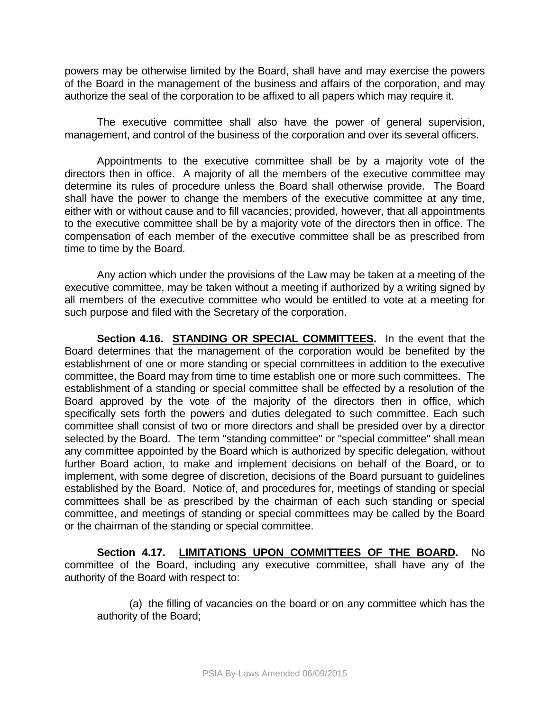powers may be otherwise limited by the Board, shall have and may exercise the powers of the Board in the management of the business and affairs of the corporation, and may authorize the seal of the corporation to be affixed to all papers which may require it.

The executive committee shall also have the power of general supervision, management, and control of the business of the corporation and over its several officers.

Appointments to the executive committee shall be by a majority vote of the directors then in office. A majority of all the members of the executive committee may determine its rules of procedure unless the Board shall otherwise provide. The Board shall have the power to change the members of the executive committee at any time, either with or without cause and to fill vacancies; provided, however, that all appointments to the executive committee shall be by a majority vote of the directors then in office. The compensation of each member of the executive committee shall be as prescribed from time to time by the Board.

Any action which under the provisions of the Law may be taken at a meeting of the executive committee, may be taken without a meeting if authorized by a writing signed by all members of the executive committee who would be entitled to vote at a meeting for such purpose and filed with the Secretary of the corporation.

**Section 4.16. STANDING OR SPECIAL COMMITTEES.** In the event that the Board determines that the management of the corporation would be benefited by the establishment of one or more standing or special committees in addition to the executive committee, the Board may from time to time establish one or more such committees. The establishment of a standing or special committee shall be effected by a resolution of the Board approved by the vote of the majority of the directors then in office, which specifically sets forth the powers and duties delegated to such committee. Each such committee shall consist of two or more directors and shall be presided over by a director selected by the Board. The term "standing committee" or "special committee" shall mean any committee appointed by the Board which is authorized by specific delegation, without further Board action, to make and implement decisions on behalf of the Board, or to implement, with some degree of discretion, decisions of the Board pursuant to guidelines established by the Board. Notice of, and procedures for, meetings of standing or special committees shall be as prescribed by the chairman of each such standing or special committee, and meetings of standing or special committees may be called by the Board or the chairman of the standing or special committee.

**Section 4.17. LIMITATIONS UPON COMMITTEES OF THE BOARD.** No committee of the Board, including any executive committee, shall have any of the authority of the Board with respect to:

(a) the filling of vacancies on the board or on any committee which has the authority of the Board;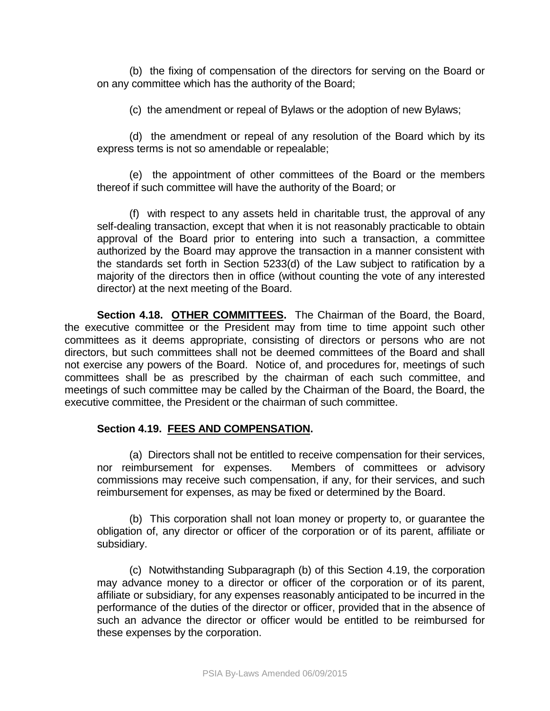(b) the fixing of compensation of the directors for serving on the Board or on any committee which has the authority of the Board;

(c) the amendment or repeal of Bylaws or the adoption of new Bylaws;

(d) the amendment or repeal of any resolution of the Board which by its express terms is not so amendable or repealable;

(e) the appointment of other committees of the Board or the members thereof if such committee will have the authority of the Board; or

(f) with respect to any assets held in charitable trust, the approval of any self-dealing transaction, except that when it is not reasonably practicable to obtain approval of the Board prior to entering into such a transaction, a committee authorized by the Board may approve the transaction in a manner consistent with the standards set forth in Section 5233(d) of the Law subject to ratification by a majority of the directors then in office (without counting the vote of any interested director) at the next meeting of the Board.

**Section 4.18. OTHER COMMITTEES.** The Chairman of the Board, the Board, the executive committee or the President may from time to time appoint such other committees as it deems appropriate, consisting of directors or persons who are not directors, but such committees shall not be deemed committees of the Board and shall not exercise any powers of the Board. Notice of, and procedures for, meetings of such committees shall be as prescribed by the chairman of each such committee, and meetings of such committee may be called by the Chairman of the Board, the Board, the executive committee, the President or the chairman of such committee.

### **Section 4.19. FEES AND COMPENSATION.**

(a) Directors shall not be entitled to receive compensation for their services, nor reimbursement for expenses. Members of committees or advisory commissions may receive such compensation, if any, for their services, and such reimbursement for expenses, as may be fixed or determined by the Board.

(b) This corporation shall not loan money or property to, or guarantee the obligation of, any director or officer of the corporation or of its parent, affiliate or subsidiary.

(c) Notwithstanding Subparagraph (b) of this Section 4.19, the corporation may advance money to a director or officer of the corporation or of its parent, affiliate or subsidiary, for any expenses reasonably anticipated to be incurred in the performance of the duties of the director or officer, provided that in the absence of such an advance the director or officer would be entitled to be reimbursed for these expenses by the corporation.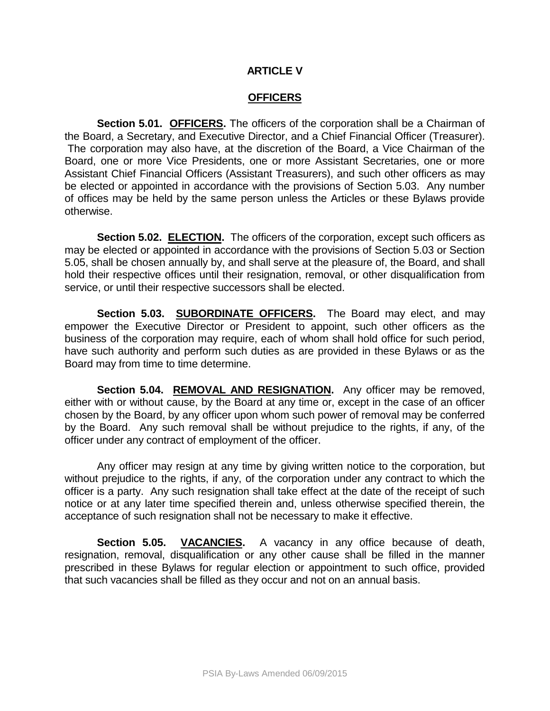#### **ARTICLE V**

#### **OFFICERS**

**Section 5.01. OFFICERS.** The officers of the corporation shall be a Chairman of the Board, a Secretary, and Executive Director, and a Chief Financial Officer (Treasurer). The corporation may also have, at the discretion of the Board, a Vice Chairman of the Board, one or more Vice Presidents, one or more Assistant Secretaries, one or more Assistant Chief Financial Officers (Assistant Treasurers), and such other officers as may be elected or appointed in accordance with the provisions of Section 5.03. Any number of offices may be held by the same person unless the Articles or these Bylaws provide otherwise.

**Section 5.02. ELECTION.** The officers of the corporation, except such officers as may be elected or appointed in accordance with the provisions of Section 5.03 or Section 5.05, shall be chosen annually by, and shall serve at the pleasure of, the Board, and shall hold their respective offices until their resignation, removal, or other disqualification from service, or until their respective successors shall be elected.

**Section 5.03. SUBORDINATE OFFICERS.** The Board may elect, and may empower the Executive Director or President to appoint, such other officers as the business of the corporation may require, each of whom shall hold office for such period, have such authority and perform such duties as are provided in these Bylaws or as the Board may from time to time determine.

**Section 5.04. REMOVAL AND RESIGNATION.** Any officer may be removed, either with or without cause, by the Board at any time or, except in the case of an officer chosen by the Board, by any officer upon whom such power of removal may be conferred by the Board. Any such removal shall be without prejudice to the rights, if any, of the officer under any contract of employment of the officer.

Any officer may resign at any time by giving written notice to the corporation, but without prejudice to the rights, if any, of the corporation under any contract to which the officer is a party. Any such resignation shall take effect at the date of the receipt of such notice or at any later time specified therein and, unless otherwise specified therein, the acceptance of such resignation shall not be necessary to make it effective.

**Section 5.05. VACANCIES.** A vacancy in any office because of death, resignation, removal, disqualification or any other cause shall be filled in the manner prescribed in these Bylaws for regular election or appointment to such office, provided that such vacancies shall be filled as they occur and not on an annual basis.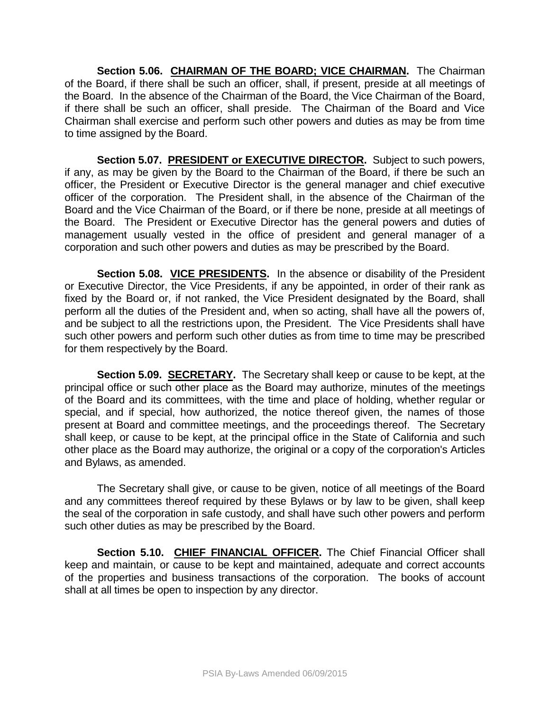Section 5.06. CHAIRMAN OF THE BOARD; VICE CHAIRMAN. The Chairman of the Board, if there shall be such an officer, shall, if present, preside at all meetings of the Board. In the absence of the Chairman of the Board, the Vice Chairman of the Board, if there shall be such an officer, shall preside. The Chairman of the Board and Vice Chairman shall exercise and perform such other powers and duties as may be from time to time assigned by the Board.

**Section 5.07. PRESIDENT or EXECUTIVE DIRECTOR.** Subject to such powers, if any, as may be given by the Board to the Chairman of the Board, if there be such an officer, the President or Executive Director is the general manager and chief executive officer of the corporation. The President shall, in the absence of the Chairman of the Board and the Vice Chairman of the Board, or if there be none, preside at all meetings of the Board. The President or Executive Director has the general powers and duties of management usually vested in the office of president and general manager of a corporation and such other powers and duties as may be prescribed by the Board.

Section 5.08. VICE PRESIDENTS. In the absence or disability of the President or Executive Director, the Vice Presidents, if any be appointed, in order of their rank as fixed by the Board or, if not ranked, the Vice President designated by the Board, shall perform all the duties of the President and, when so acting, shall have all the powers of, and be subject to all the restrictions upon, the President. The Vice Presidents shall have such other powers and perform such other duties as from time to time may be prescribed for them respectively by the Board.

**Section 5.09. SECRETARY.** The Secretary shall keep or cause to be kept, at the principal office or such other place as the Board may authorize, minutes of the meetings of the Board and its committees, with the time and place of holding, whether regular or special, and if special, how authorized, the notice thereof given, the names of those present at Board and committee meetings, and the proceedings thereof. The Secretary shall keep, or cause to be kept, at the principal office in the State of California and such other place as the Board may authorize, the original or a copy of the corporation's Articles and Bylaws, as amended.

The Secretary shall give, or cause to be given, notice of all meetings of the Board and any committees thereof required by these Bylaws or by law to be given, shall keep the seal of the corporation in safe custody, and shall have such other powers and perform such other duties as may be prescribed by the Board.

**Section 5.10. CHIEF FINANCIAL OFFICER.** The Chief Financial Officer shall keep and maintain, or cause to be kept and maintained, adequate and correct accounts of the properties and business transactions of the corporation. The books of account shall at all times be open to inspection by any director.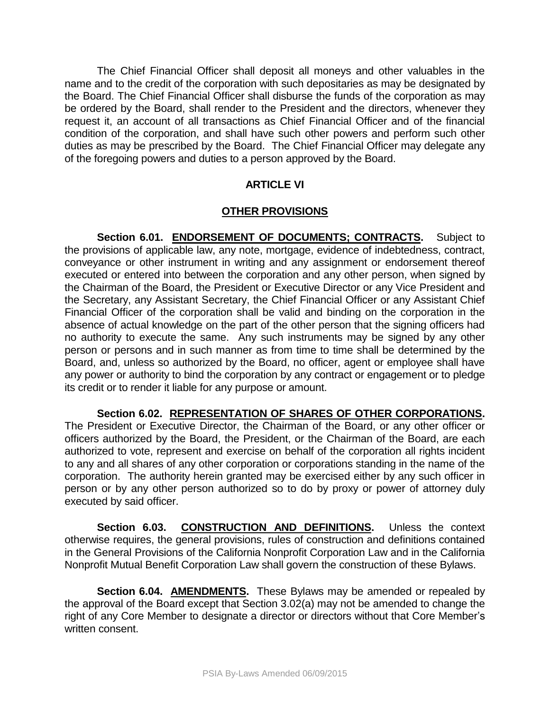The Chief Financial Officer shall deposit all moneys and other valuables in the name and to the credit of the corporation with such depositaries as may be designated by the Board. The Chief Financial Officer shall disburse the funds of the corporation as may be ordered by the Board, shall render to the President and the directors, whenever they request it, an account of all transactions as Chief Financial Officer and of the financial condition of the corporation, and shall have such other powers and perform such other duties as may be prescribed by the Board. The Chief Financial Officer may delegate any of the foregoing powers and duties to a person approved by the Board.

# **ARTICLE VI**

# **OTHER PROVISIONS**

Section 6.01. ENDORSEMENT OF DOCUMENTS; CONTRACTS. Subject to the provisions of applicable law, any note, mortgage, evidence of indebtedness, contract, conveyance or other instrument in writing and any assignment or endorsement thereof executed or entered into between the corporation and any other person, when signed by the Chairman of the Board, the President or Executive Director or any Vice President and the Secretary, any Assistant Secretary, the Chief Financial Officer or any Assistant Chief Financial Officer of the corporation shall be valid and binding on the corporation in the absence of actual knowledge on the part of the other person that the signing officers had no authority to execute the same. Any such instruments may be signed by any other person or persons and in such manner as from time to time shall be determined by the Board, and, unless so authorized by the Board, no officer, agent or employee shall have any power or authority to bind the corporation by any contract or engagement or to pledge its credit or to render it liable for any purpose or amount.

**Section 6.02. REPRESENTATION OF SHARES OF OTHER CORPORATIONS.** 

The President or Executive Director, the Chairman of the Board, or any other officer or officers authorized by the Board, the President, or the Chairman of the Board, are each authorized to vote, represent and exercise on behalf of the corporation all rights incident to any and all shares of any other corporation or corporations standing in the name of the corporation. The authority herein granted may be exercised either by any such officer in person or by any other person authorized so to do by proxy or power of attorney duly executed by said officer.

**Section 6.03. CONSTRUCTION AND DEFINITIONS.** Unless the context otherwise requires, the general provisions, rules of construction and definitions contained in the General Provisions of the California Nonprofit Corporation Law and in the California Nonprofit Mutual Benefit Corporation Law shall govern the construction of these Bylaws.

**Section 6.04. AMENDMENTS.** These Bylaws may be amended or repealed by the approval of the Board except that Section 3.02(a) may not be amended to change the right of any Core Member to designate a director or directors without that Core Member's written consent.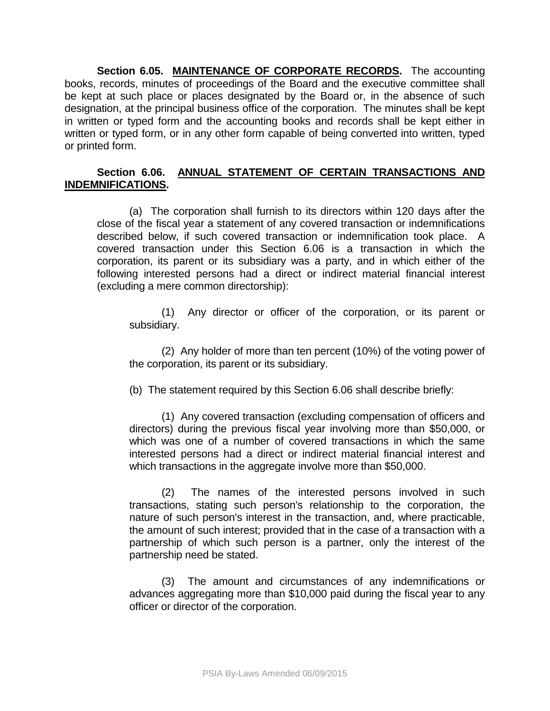**Section 6.05. MAINTENANCE OF CORPORATE RECORDS.** The accounting books, records, minutes of proceedings of the Board and the executive committee shall be kept at such place or places designated by the Board or, in the absence of such designation, at the principal business office of the corporation. The minutes shall be kept in written or typed form and the accounting books and records shall be kept either in written or typed form, or in any other form capable of being converted into written, typed or printed form.

### **Section 6.06. ANNUAL STATEMENT OF CERTAIN TRANSACTIONS AND INDEMNIFICATIONS.**

(a) The corporation shall furnish to its directors within 120 days after the close of the fiscal year a statement of any covered transaction or indemnifications described below, if such covered transaction or indemnification took place. A covered transaction under this Section 6.06 is a transaction in which the corporation, its parent or its subsidiary was a party, and in which either of the following interested persons had a direct or indirect material financial interest (excluding a mere common directorship):

(1) Any director or officer of the corporation, or its parent or subsidiary.

(2) Any holder of more than ten percent (10%) of the voting power of the corporation, its parent or its subsidiary.

(b) The statement required by this Section 6.06 shall describe briefly:

(1) Any covered transaction (excluding compensation of officers and directors) during the previous fiscal year involving more than \$50,000, or which was one of a number of covered transactions in which the same interested persons had a direct or indirect material financial interest and which transactions in the aggregate involve more than \$50,000.

(2) The names of the interested persons involved in such transactions, stating such person's relationship to the corporation, the nature of such person's interest in the transaction, and, where practicable, the amount of such interest; provided that in the case of a transaction with a partnership of which such person is a partner, only the interest of the partnership need be stated.

(3) The amount and circumstances of any indemnifications or advances aggregating more than \$10,000 paid during the fiscal year to any officer or director of the corporation.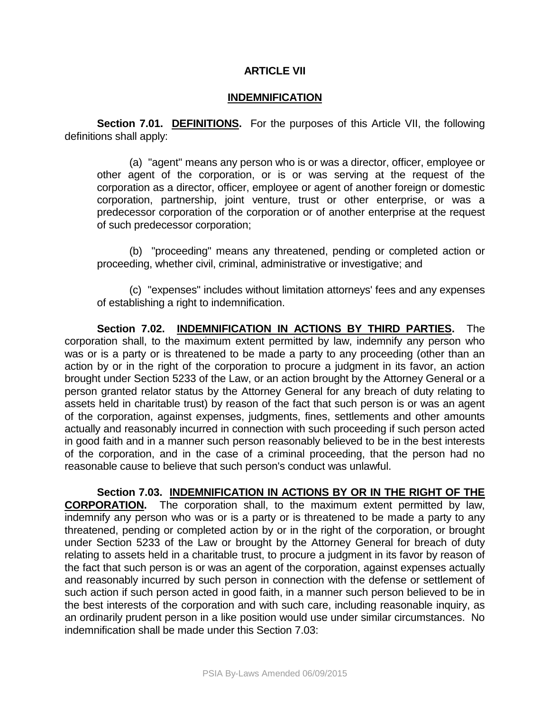#### **ARTICLE VII**

#### **INDEMNIFICATION**

**Section 7.01. DEFINITIONS.** For the purposes of this Article VII, the following definitions shall apply:

(a) "agent" means any person who is or was a director, officer, employee or other agent of the corporation, or is or was serving at the request of the corporation as a director, officer, employee or agent of another foreign or domestic corporation, partnership, joint venture, trust or other enterprise, or was a predecessor corporation of the corporation or of another enterprise at the request of such predecessor corporation;

(b) "proceeding" means any threatened, pending or completed action or proceeding, whether civil, criminal, administrative or investigative; and

(c) "expenses" includes without limitation attorneys' fees and any expenses of establishing a right to indemnification.

**Section 7.02. INDEMNIFICATION IN ACTIONS BY THIRD PARTIES.** The corporation shall, to the maximum extent permitted by law, indemnify any person who was or is a party or is threatened to be made a party to any proceeding (other than an action by or in the right of the corporation to procure a judgment in its favor, an action brought under Section 5233 of the Law, or an action brought by the Attorney General or a person granted relator status by the Attorney General for any breach of duty relating to assets held in charitable trust) by reason of the fact that such person is or was an agent of the corporation, against expenses, judgments, fines, settlements and other amounts actually and reasonably incurred in connection with such proceeding if such person acted in good faith and in a manner such person reasonably believed to be in the best interests of the corporation, and in the case of a criminal proceeding, that the person had no reasonable cause to believe that such person's conduct was unlawful.

**Section 7.03. INDEMNIFICATION IN ACTIONS BY OR IN THE RIGHT OF THE CORPORATION.** The corporation shall, to the maximum extent permitted by law, indemnify any person who was or is a party or is threatened to be made a party to any threatened, pending or completed action by or in the right of the corporation, or brought under Section 5233 of the Law or brought by the Attorney General for breach of duty relating to assets held in a charitable trust, to procure a judgment in its favor by reason of the fact that such person is or was an agent of the corporation, against expenses actually and reasonably incurred by such person in connection with the defense or settlement of such action if such person acted in good faith, in a manner such person believed to be in the best interests of the corporation and with such care, including reasonable inquiry, as an ordinarily prudent person in a like position would use under similar circumstances. No indemnification shall be made under this Section 7.03: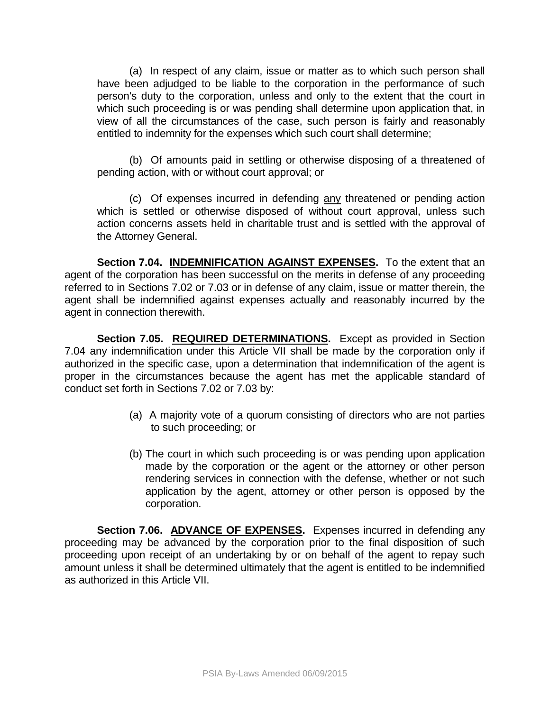(a) In respect of any claim, issue or matter as to which such person shall have been adjudged to be liable to the corporation in the performance of such person's duty to the corporation, unless and only to the extent that the court in which such proceeding is or was pending shall determine upon application that, in view of all the circumstances of the case, such person is fairly and reasonably entitled to indemnity for the expenses which such court shall determine;

(b) Of amounts paid in settling or otherwise disposing of a threatened of pending action, with or without court approval; or

(c) Of expenses incurred in defending any threatened or pending action which is settled or otherwise disposed of without court approval, unless such action concerns assets held in charitable trust and is settled with the approval of the Attorney General.

**Section 7.04. INDEMNIFICATION AGAINST EXPENSES.** To the extent that an agent of the corporation has been successful on the merits in defense of any proceeding referred to in Sections 7.02 or 7.03 or in defense of any claim, issue or matter therein, the agent shall be indemnified against expenses actually and reasonably incurred by the agent in connection therewith.

**Section 7.05. REQUIRED DETERMINATIONS.** Except as provided in Section 7.04 any indemnification under this Article VII shall be made by the corporation only if authorized in the specific case, upon a determination that indemnification of the agent is proper in the circumstances because the agent has met the applicable standard of conduct set forth in Sections 7.02 or 7.03 by:

- (a) A majority vote of a quorum consisting of directors who are not parties to such proceeding; or
- (b) The court in which such proceeding is or was pending upon application made by the corporation or the agent or the attorney or other person rendering services in connection with the defense, whether or not such application by the agent, attorney or other person is opposed by the corporation.

**Section 7.06. ADVANCE OF EXPENSES.** Expenses incurred in defending any proceeding may be advanced by the corporation prior to the final disposition of such proceeding upon receipt of an undertaking by or on behalf of the agent to repay such amount unless it shall be determined ultimately that the agent is entitled to be indemnified as authorized in this Article VII.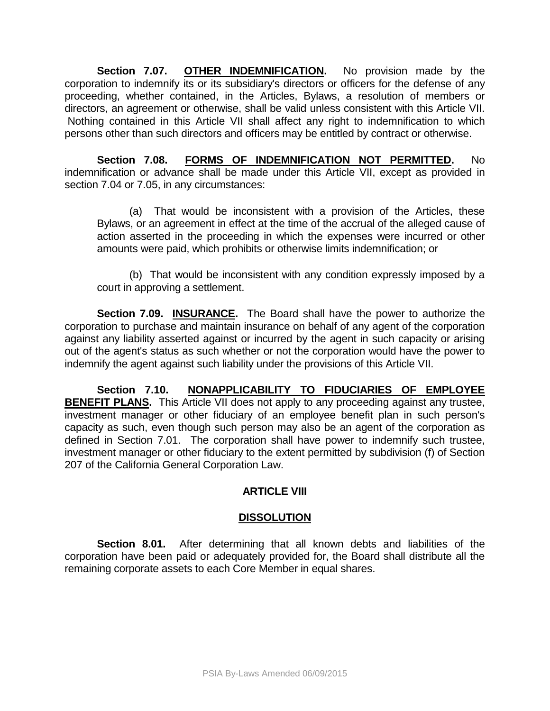**Section 7.07. OTHER INDEMNIFICATION.** No provision made by the corporation to indemnify its or its subsidiary's directors or officers for the defense of any proceeding, whether contained, in the Articles, Bylaws, a resolution of members or directors, an agreement or otherwise, shall be valid unless consistent with this Article VII. Nothing contained in this Article VII shall affect any right to indemnification to which persons other than such directors and officers may be entitled by contract or otherwise.

**Section 7.08. FORMS OF INDEMNIFICATION NOT PERMITTED.** No indemnification or advance shall be made under this Article VII, except as provided in section 7.04 or 7.05, in any circumstances:

(a) That would be inconsistent with a provision of the Articles, these Bylaws, or an agreement in effect at the time of the accrual of the alleged cause of action asserted in the proceeding in which the expenses were incurred or other amounts were paid, which prohibits or otherwise limits indemnification; or

(b) That would be inconsistent with any condition expressly imposed by a court in approving a settlement.

**Section 7.09. INSURANCE.** The Board shall have the power to authorize the corporation to purchase and maintain insurance on behalf of any agent of the corporation against any liability asserted against or incurred by the agent in such capacity or arising out of the agent's status as such whether or not the corporation would have the power to indemnify the agent against such liability under the provisions of this Article VII.

**Section 7.10. NONAPPLICABILITY TO FIDUCIARIES OF EMPLOYEE BENEFIT PLANS.** This Article VII does not apply to any proceeding against any trustee, investment manager or other fiduciary of an employee benefit plan in such person's capacity as such, even though such person may also be an agent of the corporation as defined in Section 7.01. The corporation shall have power to indemnify such trustee, investment manager or other fiduciary to the extent permitted by subdivision (f) of Section 207 of the California General Corporation Law.

# **ARTICLE VIII**

# **DISSOLUTION**

**Section 8.01.** After determining that all known debts and liabilities of the corporation have been paid or adequately provided for, the Board shall distribute all the remaining corporate assets to each Core Member in equal shares.